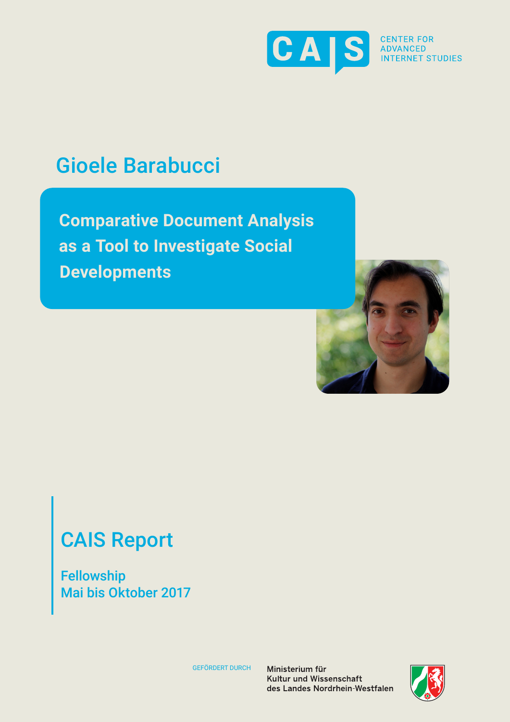

**INTERNET STUDIES** 

# Gioele Barabucci

**Comparative Document Analysis as a Tool to Investigate Social Developments**



# CAIS Report

Fellowship Mai bis Oktober 2017

GEFÖRDERT DURCH

Ministerium für Kultur und Wissenschaft des Landes Nordrhein-Westfalen

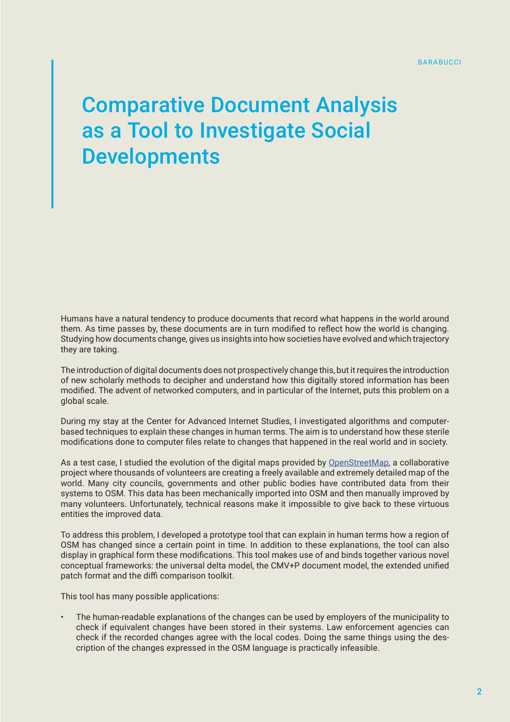# Comparative Document Analysis as a Tool to Investigate Social **Developments**

Humans have a natural tendency to produce documents that record what happens in the world around them. As time passes by, these documents are in turn modified to reflect how the world is changing. Studying how documents change, gives us insights into how societies have evolved and which trajectory they are taking.

The introduction of digital documents does not prospectively change this, but it requires the introduction of new scholarly methods to decipher and understand how this digitally stored information has been modified. The advent of networked computers, and in particular of the Internet, puts this problem on a global scale.

During my stay at the Center for Advanced Internet Studies, I investigated algorithms and computerbased techniques to explain these changes in human terms. The aim is to understand how these sterile modifications done to computer files relate to changes that happened in the real world and in society.

As a test case, I studied the evolution of the digital maps provided by [OpenStreetMap,](https://www.openstreetmap.org/#map=6/51.330/10.453) a collaborative project where thousands of volunteers are creating a freely available and extremely detailed map of the world. Many city councils, governments and other public bodies have contributed data from their systems to OSM. This data has been mechanically imported into OSM and then manually improved by many volunteers. Unfortunately, technical reasons make it impossible to give back to these virtuous entities the improved data.

To address this problem, I developed a prototype tool that can explain in human terms how a region of OSM has changed since a certain point in time. In addition to these explanations, the tool can also display in graphical form these modifications. This tool makes use of and binds together various novel conceptual frameworks: the universal delta model, the CMV+P document model, the extended unified patch format and the diffi comparison toolkit.

This tool has many possible applications:

• The human-readable explanations of the changes can be used by employers of the municipality to check if equivalent changes have been stored in their systems. Law enforcement agencies can check if the recorded changes agree with the local codes. Doing the same things using the description of the changes expressed in the OSM language is practically infeasible.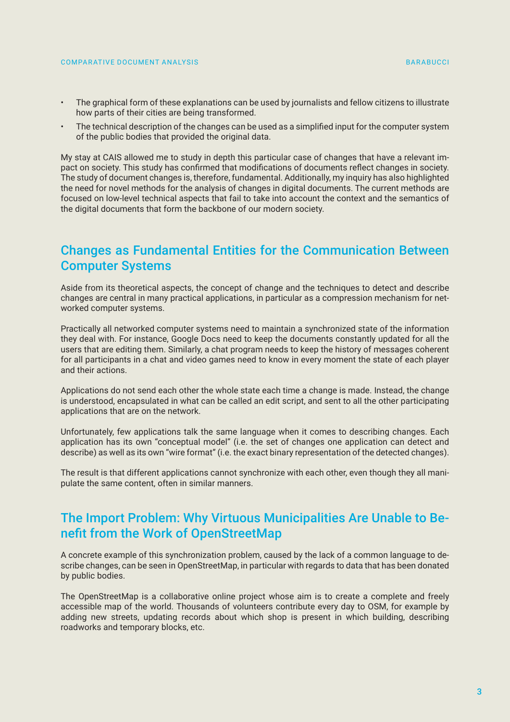- The graphical form of these explanations can be used by journalists and fellow citizens to illustrate how parts of their cities are being transformed.
- The technical description of the changes can be used as a simplified input for the computer system of the public bodies that provided the original data.

My stay at CAIS allowed me to study in depth this particular case of changes that have a relevant impact on society. This study has confirmed that modifications of documents reflect changes in society. The study of document changes is, therefore, fundamental. Additionally, my inquiry has also highlighted the need for novel methods for the analysis of changes in digital documents. The current methods are focused on low-level technical aspects that fail to take into account the context and the semantics of the digital documents that form the backbone of our modern society.

# Changes as Fundamental Entities for the Communication Between Computer Systems

Aside from its theoretical aspects, the concept of change and the techniques to detect and describe changes are central in many practical applications, in particular as a compression mechanism for networked computer systems.

Practically all networked computer systems need to maintain a synchronized state of the information they deal with. For instance, Google Docs need to keep the documents constantly updated for all the users that are editing them. Similarly, a chat program needs to keep the history of messages coherent for all participants in a chat and video games need to know in every moment the state of each player and their actions.

Applications do not send each other the whole state each time a change is made. Instead, the change is understood, encapsulated in what can be called an edit script, and sent to all the other participating applications that are on the network.

Unfortunately, few applications talk the same language when it comes to describing changes. Each application has its own "conceptual model" (i.e. the set of changes one application can detect and describe) as well as its own "wire format" (i.e. the exact binary representation of the detected changes).

The result is that different applications cannot synchronize with each other, even though they all manipulate the same content, often in similar manners.

# The Import Problem: Why Virtuous Municipalities Are Unable to Benefit from the Work of OpenStreetMap

A concrete example of this synchronization problem, caused by the lack of a common language to describe changes, can be seen in OpenStreetMap, in particular with regards to data that has been donated by public bodies.

The OpenStreetMap is a collaborative online project whose aim is to create a complete and freely accessible map of the world. Thousands of volunteers contribute every day to OSM, for example by adding new streets, updating records about which shop is present in which building, describing roadworks and temporary blocks, etc.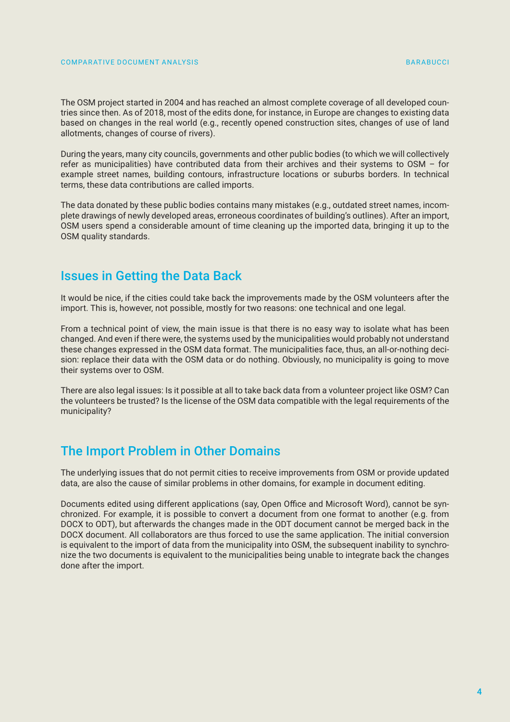#### COMPARATIVE DOCUMENT ANALYSIS BARABUCCI ESTIMATIVE DOCUMENT ANALYSIS

The OSM project started in 2004 and has reached an almost complete coverage of all developed countries since then. As of 2018, most of the edits done, for instance, in Europe are changes to existing data based on changes in the real world (e.g., recently opened construction sites, changes of use of land allotments, changes of course of rivers).

During the years, many city councils, governments and other public bodies (to which we will collectively refer as municipalities) have contributed data from their archives and their systems to OSM – for example street names, building contours, infrastructure locations or suburbs borders. In technical terms, these data contributions are called imports.

The data donated by these public bodies contains many mistakes (e.g., outdated street names, incomplete drawings of newly developed areas, erroneous coordinates of building's outlines). After an import, OSM users spend a considerable amount of time cleaning up the imported data, bringing it up to the OSM quality standards.

### Issues in Getting the Data Back

It would be nice, if the cities could take back the improvements made by the OSM volunteers after the import. This is, however, not possible, mostly for two reasons: one technical and one legal.

From a technical point of view, the main issue is that there is no easy way to isolate what has been changed. And even if there were, the systems used by the municipalities would probably not understand these changes expressed in the OSM data format. The municipalities face, thus, an all-or-nothing decision: replace their data with the OSM data or do nothing. Obviously, no municipality is going to move their systems over to OSM.

There are also legal issues: Is it possible at all to take back data from a volunteer project like OSM? Can the volunteers be trusted? Is the license of the OSM data compatible with the legal requirements of the municipality?

# The Import Problem in Other Domains

The underlying issues that do not permit cities to receive improvements from OSM or provide updated data, are also the cause of similar problems in other domains, for example in document editing.

Documents edited using different applications (say, Open Office and Microsoft Word), cannot be synchronized. For example, it is possible to convert a document from one format to another (e.g. from DOCX to ODT), but afterwards the changes made in the ODT document cannot be merged back in the DOCX document. All collaborators are thus forced to use the same application. The initial conversion is equivalent to the import of data from the municipality into OSM, the subsequent inability to synchronize the two documents is equivalent to the municipalities being unable to integrate back the changes done after the import.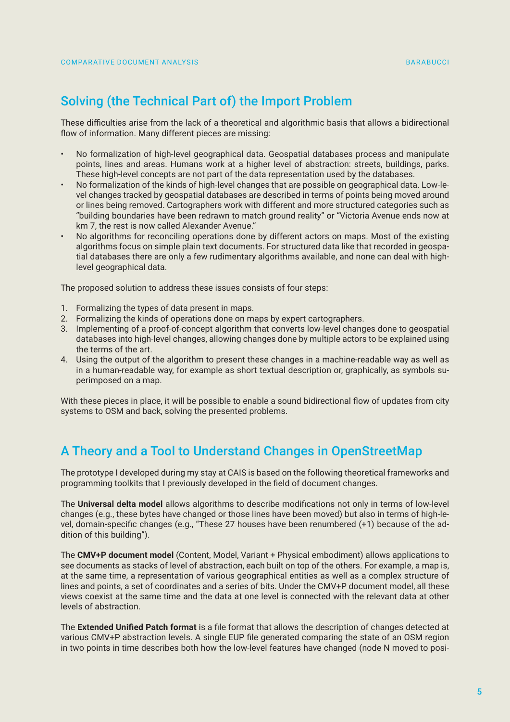# Solving (the Technical Part of) the Import Problem

These difficulties arise from the lack of a theoretical and algorithmic basis that allows a bidirectional flow of information. Many different pieces are missing:

- No formalization of high-level geographical data. Geospatial databases process and manipulate points, lines and areas. Humans work at a higher level of abstraction: streets, buildings, parks. These high-level concepts are not part of the data representation used by the databases.
- No formalization of the kinds of high-level changes that are possible on geographical data. Low-level changes tracked by geospatial databases are described in terms of points being moved around or lines being removed. Cartographers work with different and more structured categories such as "building boundaries have been redrawn to match ground reality" or "Victoria Avenue ends now at km 7, the rest is now called Alexander Avenue."
- No algorithms for reconciling operations done by different actors on maps. Most of the existing algorithms focus on simple plain text documents. For structured data like that recorded in geospatial databases there are only a few rudimentary algorithms available, and none can deal with highlevel geographical data.

The proposed solution to address these issues consists of four steps:

- 1. Formalizing the types of data present in maps.
- 2. Formalizing the kinds of operations done on maps by expert cartographers.
- 3. Implementing of a proof-of-concept algorithm that converts low-level changes done to geospatial databases into high-level changes, allowing changes done by multiple actors to be explained using the terms of the art.
- 4. Using the output of the algorithm to present these changes in a machine-readable way as well as in a human-readable way, for example as short textual description or, graphically, as symbols superimposed on a map.

With these pieces in place, it will be possible to enable a sound bidirectional flow of updates from city systems to OSM and back, solving the presented problems.

# A Theory and a Tool to Understand Changes in OpenStreetMap

The prototype I developed during my stay at CAIS is based on the following theoretical frameworks and programming toolkits that I previously developed in the field of document changes.

The **Universal delta model** allows algorithms to describe modifications not only in terms of low-level changes (e.g., these bytes have changed or those lines have been moved) but also in terms of high-level, domain-specific changes (e.g., "These 27 houses have been renumbered (+1) because of the addition of this building").

The **CMV+P document model** (Content, Model, Variant + Physical embodiment) allows applications to see documents as stacks of level of abstraction, each built on top of the others. For example, a map is, at the same time, a representation of various geographical entities as well as a complex structure of lines and points, a set of coordinates and a series of bits. Under the CMV+P document model, all these views coexist at the same time and the data at one level is connected with the relevant data at other levels of abstraction.

The **Extended Unified Patch format** is a file format that allows the description of changes detected at various CMV+P abstraction levels. A single EUP file generated comparing the state of an OSM region in two points in time describes both how the low-level features have changed (node N moved to posi